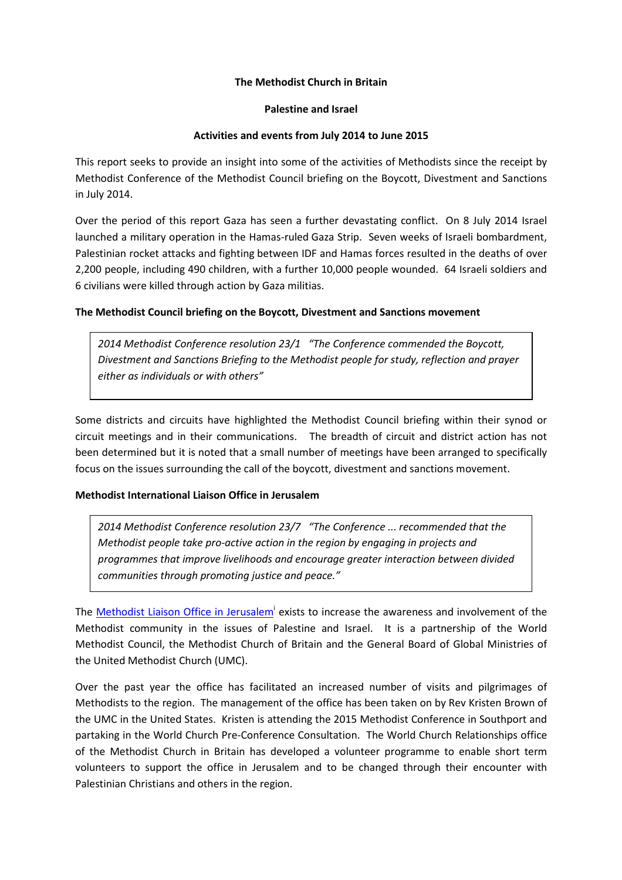### The Methodist Church in Britain

#### Palestine and Israel

### Activities and events from July 2014 to June 2015

This report seeks to provide an insight into some of the activities of Methodists since the receipt by Methodist Conference of the Methodist Council briefing on the Boycott, Divestment and Sanctions in July 2014.

Over the period of this report Gaza has seen a further devastating conflict. On 8 July 2014 Israel launched a military operation in the Hamas-ruled Gaza Strip. Seven weeks of Israeli bombardment, Palestinian rocket attacks and fighting between IDF and Hamas forces resulted in the deaths of over 2,200 people, including 490 children, with a further 10,000 people wounded. 64 Israeli soldiers and 6 civilians were killed through action by Gaza militias.

# The Methodist Council briefing on the Boycott, Divestment and Sanctions movement

2014 Methodist Conference resolution 23/1 "The Conference commended the Boycott, Divestment and Sanctions Briefing to the Methodist people for study, reflection and prayer either as individuals or with others"

Some districts and circuits have highlighted the Methodist Council briefing within their synod or circuit meetings and in their communications. The breadth of circuit and district action has not been determined but it is noted that a small number of meetings have been arranged to specifically focus on the issues surrounding the call of the boycott, divestment and sanctions movement.

# Methodist International Liaison Office in Jerusalem

2014 Methodist Conference resolution 23/7 "The Conference ... recommended that the Methodist people take pro-active action in the region by engaging in projects and programmes that improve livelihoods and encourage greater interaction between divided communities through promoting justice and peace."

The Methodist Liaison Office in Jerusalem<sup>i</sup> exists to increase the awareness and involvement of the Methodist community in the issues of Palestine and Israel. It is a partnership of the World Methodist Council, the Methodist Church of Britain and the General Board of Global Ministries of the United Methodist Church (UMC).

Over the past year the office has facilitated an increased number of visits and pilgrimages of Methodists to the region. The management of the office has been taken on by Rev Kristen Brown of the UMC in the United States. Kristen is attending the 2015 Methodist Conference in Southport and partaking in the World Church Pre-Conference Consultation. The World Church Relationships office of the Methodist Church in Britain has developed a volunteer programme to enable short term volunteers to support the office in Jerusalem and to be changed through their encounter with Palestinian Christians and others in the region.